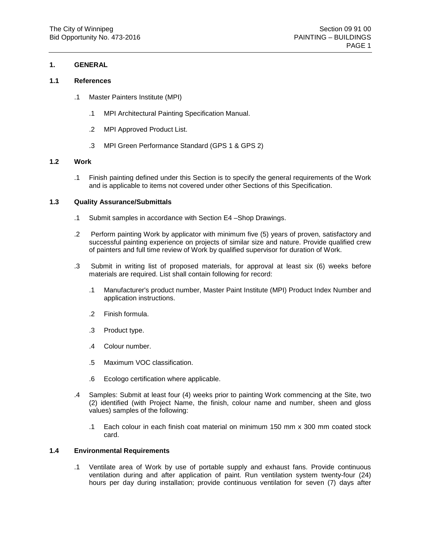## **1. GENERAL**

## **1.1 References**

- .1 Master Painters Institute (MPI)
	- .1 MPI Architectural Painting Specification Manual.
	- .2 MPI Approved Product List.
	- .3 MPI Green Performance Standard (GPS 1 & GPS 2)

### **1.2 Work**

.1 Finish painting defined under this Section is to specify the general requirements of the Work and is applicable to items not covered under other Sections of this Specification.

### **1.3 Quality Assurance/Submittals**

- .1 Submit samples in accordance with Section E4 –Shop Drawings.
- .2 Perform painting Work by applicator with minimum five (5) years of proven, satisfactory and successful painting experience on projects of similar size and nature. Provide qualified crew of painters and full time review of Work by qualified supervisor for duration of Work.
- .3 Submit in writing list of proposed materials, for approval at least six (6) weeks before materials are required. List shall contain following for record:
	- .1 Manufacturer's product number, Master Paint Institute (MPI) Product Index Number and application instructions.
	- .2 Finish formula.
	- .3 Product type.
	- .4 Colour number.
	- .5 Maximum VOC classification.
	- .6 Ecologo certification where applicable.
- .4 Samples: Submit at least four (4) weeks prior to painting Work commencing at the Site, two (2) identified (with Project Name, the finish, colour name and number, sheen and gloss values) samples of the following:
	- .1 Each colour in each finish coat material on minimum 150 mm x 300 mm coated stock card.

## **1.4 Environmental Requirements**

.1 Ventilate area of Work by use of portable supply and exhaust fans. Provide continuous ventilation during and after application of paint. Run ventilation system twenty-four (24) hours per day during installation; provide continuous ventilation for seven (7) days after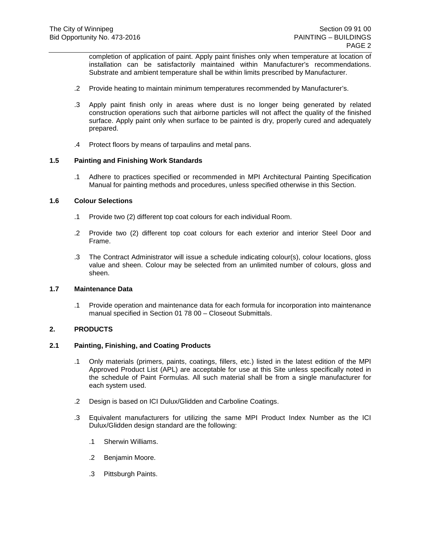completion of application of paint. Apply paint finishes only when temperature at location of installation can be satisfactorily maintained within Manufacturer's recommendations. Substrate and ambient temperature shall be within limits prescribed by Manufacturer.

- .2 Provide heating to maintain minimum temperatures recommended by Manufacturer's.
- .3 Apply paint finish only in areas where dust is no longer being generated by related construction operations such that airborne particles will not affect the quality of the finished surface. Apply paint only when surface to be painted is dry, properly cured and adequately prepared.
- .4 Protect floors by means of tarpaulins and metal pans.

### **1.5 Painting and Finishing Work Standards**

.1 Adhere to practices specified or recommended in MPI Architectural Painting Specification Manual for painting methods and procedures, unless specified otherwise in this Section.

## **1.6 Colour Selections**

- .1 Provide two (2) different top coat colours for each individual Room.
- .2 Provide two (2) different top coat colours for each exterior and interior Steel Door and Frame.
- .3 The Contract Administrator will issue a schedule indicating colour(s), colour locations, gloss value and sheen. Colour may be selected from an unlimited number of colours, gloss and sheen.

### **1.7 Maintenance Data**

.1 Provide operation and maintenance data for each formula for incorporation into maintenance manual specified in Section 01 78 00 – Closeout Submittals.

## **2. PRODUCTS**

## **2.1 Painting, Finishing, and Coating Products**

- .1 Only materials (primers, paints, coatings, fillers, etc.) listed in the latest edition of the MPI Approved Product List (APL) are acceptable for use at this Site unless specifically noted in the schedule of Paint Formulas. All such material shall be from a single manufacturer for each system used.
- .2 Design is based on ICI Dulux/Glidden and Carboline Coatings.
- .3 Equivalent manufacturers for utilizing the same MPI Product Index Number as the ICI Dulux/Glidden design standard are the following:
	- .1 Sherwin Williams.
	- .2 Benjamin Moore.
	- .3 Pittsburgh Paints.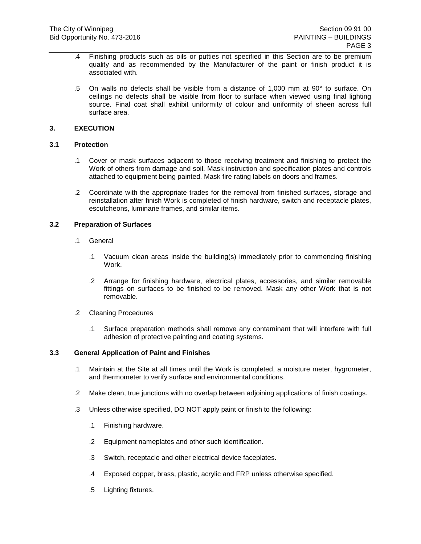- .4 Finishing products such as oils or putties not specified in this Section are to be premium quality and as recommended by the Manufacturer of the paint or finish product it is associated with.
- .5 On walls no defects shall be visible from a distance of 1,000 mm at 90° to surface. On ceilings no defects shall be visible from floor to surface when viewed using final lighting source. Final coat shall exhibit uniformity of colour and uniformity of sheen across full surface area.

## **3. EXECUTION**

## **3.1 Protection**

- .1 Cover or mask surfaces adjacent to those receiving treatment and finishing to protect the Work of others from damage and soil. Mask instruction and specification plates and controls attached to equipment being painted. Mask fire rating labels on doors and frames.
- .2 Coordinate with the appropriate trades for the removal from finished surfaces, storage and reinstallation after finish Work is completed of finish hardware, switch and receptacle plates, escutcheons, luminarie frames, and similar items.

## **3.2 Preparation of Surfaces**

- .1 General
	- .1 Vacuum clean areas inside the building(s) immediately prior to commencing finishing Work.
	- .2 Arrange for finishing hardware, electrical plates, accessories, and similar removable fittings on surfaces to be finished to be removed. Mask any other Work that is not removable.
- .2 Cleaning Procedures
	- .1 Surface preparation methods shall remove any contaminant that will interfere with full adhesion of protective painting and coating systems.

### **3.3 General Application of Paint and Finishes**

- .1 Maintain at the Site at all times until the Work is completed, a moisture meter, hygrometer, and thermometer to verify surface and environmental conditions.
- .2 Make clean, true junctions with no overlap between adjoining applications of finish coatings.
- .3 Unless otherwise specified, DO NOT apply paint or finish to the following:
	- .1 Finishing hardware.
	- .2 Equipment nameplates and other such identification.
	- .3 Switch, receptacle and other electrical device faceplates.
	- .4 Exposed copper, brass, plastic, acrylic and FRP unless otherwise specified.
	- .5 Lighting fixtures.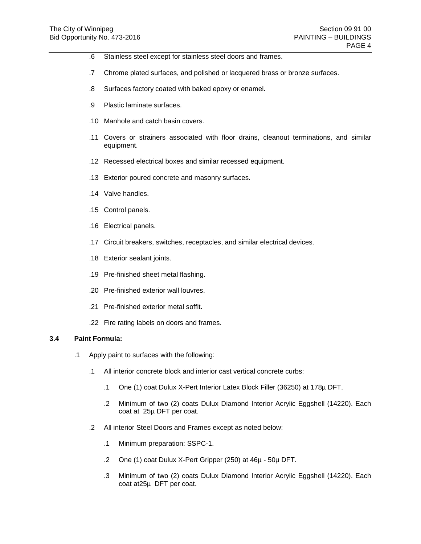- .6 Stainless steel except for stainless steel doors and frames.
- .7 Chrome plated surfaces, and polished or lacquered brass or bronze surfaces.
- .8 Surfaces factory coated with baked epoxy or enamel.
- .9 Plastic laminate surfaces.
- .10 Manhole and catch basin covers.
- .11 Covers or strainers associated with floor drains, cleanout terminations, and similar equipment.
- .12 Recessed electrical boxes and similar recessed equipment.
- .13 Exterior poured concrete and masonry surfaces.
- .14 Valve handles.
- .15 Control panels.
- .16 Electrical panels.
- .17 Circuit breakers, switches, receptacles, and similar electrical devices.
- .18 Exterior sealant joints.
- .19 Pre-finished sheet metal flashing.
- .20 Pre-finished exterior wall louvres.
- .21 Pre-finished exterior metal soffit.
- .22 Fire rating labels on doors and frames.

## **3.4 Paint Formula:**

- .1 Apply paint to surfaces with the following:
	- .1 All interior concrete block and interior cast vertical concrete curbs:
		- .1 One (1) coat Dulux X-Pert Interior Latex Block Filler (36250) at 178µ DFT.
		- .2 Minimum of two (2) coats Dulux Diamond Interior Acrylic Eggshell (14220). Each coat at 25µ DFT per coat.
	- .2 All interior Steel Doors and Frames except as noted below:
		- .1 Minimum preparation: SSPC-1.
		- .2 One (1) coat Dulux X-Pert Gripper (250) at 46µ 50µ DFT.
		- .3 Minimum of two (2) coats Dulux Diamond Interior Acrylic Eggshell (14220). Each coat at25µ DFT per coat.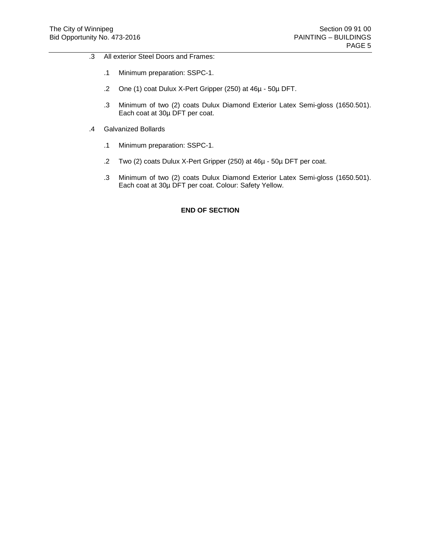- .3 All exterior Steel Doors and Frames:
	- .1 Minimum preparation: SSPC-1.
	- .2 One (1) coat Dulux X-Pert Gripper (250) at 46µ 50µ DFT.
	- .3 Minimum of two (2) coats Dulux Diamond Exterior Latex Semi-gloss (1650.501). Each coat at 30µ DFT per coat.
- .4 Galvanized Bollards
	- .1 Minimum preparation: SSPC-1.
	- .2 Two (2) coats Dulux X-Pert Gripper (250) at 46µ 50µ DFT per coat.
	- .3 Minimum of two (2) coats Dulux Diamond Exterior Latex Semi-gloss (1650.501). Each coat at 30µ DFT per coat. Colour: Safety Yellow.

## **END OF SECTION**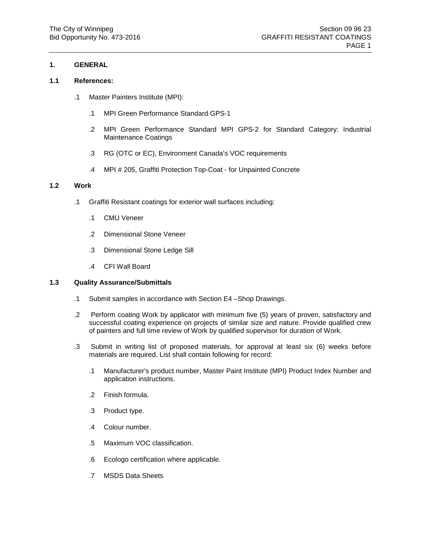## **1. GENERAL**

## **1.1 References:**

- .1 Master Painters Institute (MPI):
	- .1 MPI Green Performance Standard GPS-1
	- .2 MPI Green Performance Standard MPI GPS-2 for Standard Category: Industrial Maintenance Coatings
	- .3 RG (OTC or EC), Environment Canada's VOC requirements
	- .4 MPI # 205, Graffiti Protection Top-Coat for Unpainted Concrete

### **1.2 Work**

- .1 Graffiti Resistant coatings for exterior wall surfaces including:
	- .1 CMU Veneer
	- .2 Dimensional Stone Veneer
	- .3 Dimensional Stone Ledge Sill
	- .4 CFI Wall Board

#### **1.3 Quality Assurance/Submittals**

- .1 Submit samples in accordance with Section E4 –Shop Drawings.
- .2 Perform coating Work by applicator with minimum five (5) years of proven, satisfactory and successful coating experience on projects of similar size and nature. Provide qualified crew of painters and full time review of Work by qualified supervisor for duration of Work.
- .3 Submit in writing list of proposed materials, for approval at least six (6) weeks before materials are required. List shall contain following for record:
	- .1 Manufacturer's product number, Master Paint Institute (MPI) Product Index Number and application instructions.
	- .2 Finish formula.
	- .3 Product type.
	- .4 Colour number.
	- .5 Maximum VOC classification.
	- .6 Ecologo certification where applicable.
	- .7 MSDS Data Sheets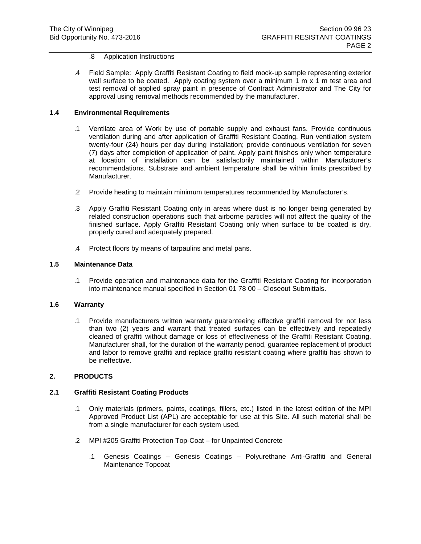- .8 Application Instructions
- .4 Field Sample: Apply Graffiti Resistant Coating to field mock-up sample representing exterior wall surface to be coated. Apply coating system over a minimum 1 m x 1 m test area and test removal of applied spray paint in presence of Contract Administrator and The City for approval using removal methods recommended by the manufacturer.

### **1.4 Environmental Requirements**

- .1 Ventilate area of Work by use of portable supply and exhaust fans. Provide continuous ventilation during and after application of Graffiti Resistant Coating. Run ventilation system twenty-four (24) hours per day during installation; provide continuous ventilation for seven (7) days after completion of application of paint. Apply paint finishes only when temperature at location of installation can be satisfactorily maintained within Manufacturer's recommendations. Substrate and ambient temperature shall be within limits prescribed by Manufacturer.
- .2 Provide heating to maintain minimum temperatures recommended by Manufacturer's.
- .3 Apply Graffiti Resistant Coating only in areas where dust is no longer being generated by related construction operations such that airborne particles will not affect the quality of the finished surface. Apply Graffiti Resistant Coating only when surface to be coated is dry, properly cured and adequately prepared.
- .4 Protect floors by means of tarpaulins and metal pans.

## **1.5 Maintenance Data**

.1 Provide operation and maintenance data for the Graffiti Resistant Coating for incorporation into maintenance manual specified in Section 01 78 00 – Closeout Submittals.

### **1.6 Warranty**

.1 Provide manufacturers written warranty guaranteeing effective graffiti removal for not less than two (2) years and warrant that treated surfaces can be effectively and repeatedly cleaned of graffiti without damage or loss of effectiveness of the Graffiti Resistant Coating. Manufacturer shall, for the duration of the warranty period, guarantee replacement of product and labor to remove graffiti and replace graffiti resistant coating where graffiti has shown to be ineffective.

#### **2. PRODUCTS**

#### **2.1 Graffiti Resistant Coating Products**

- .1 Only materials (primers, paints, coatings, fillers, etc.) listed in the latest edition of the MPI Approved Product List (APL) are acceptable for use at this Site. All such material shall be from a single manufacturer for each system used.
- .2 MPI #205 Graffiti Protection Top-Coat for Unpainted Concrete
	- .1 Genesis Coatings Genesis Coatings Polyurethane Anti-Graffiti and General Maintenance Topcoat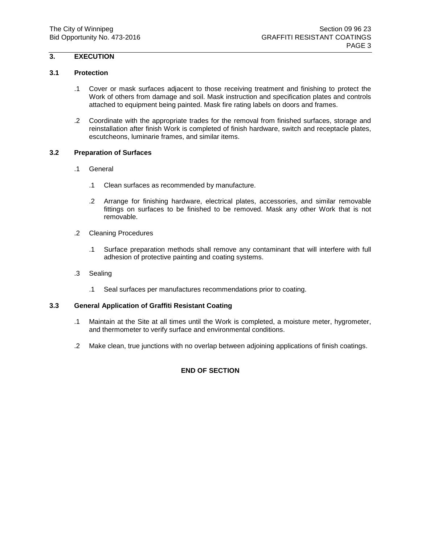# **3. EXECUTION**

## **3.1 Protection**

- .1 Cover or mask surfaces adjacent to those receiving treatment and finishing to protect the Work of others from damage and soil. Mask instruction and specification plates and controls attached to equipment being painted. Mask fire rating labels on doors and frames.
- .2 Coordinate with the appropriate trades for the removal from finished surfaces, storage and reinstallation after finish Work is completed of finish hardware, switch and receptacle plates, escutcheons, luminarie frames, and similar items.

## **3.2 Preparation of Surfaces**

- .1 General
	- .1 Clean surfaces as recommended by manufacture.
	- .2 Arrange for finishing hardware, electrical plates, accessories, and similar removable fittings on surfaces to be finished to be removed. Mask any other Work that is not removable.
- .2 Cleaning Procedures
	- .1 Surface preparation methods shall remove any contaminant that will interfere with full adhesion of protective painting and coating systems.
- .3 Sealing
	- .1 Seal surfaces per manufactures recommendations prior to coating.

## **3.3 General Application of Graffiti Resistant Coating**

- .1 Maintain at the Site at all times until the Work is completed, a moisture meter, hygrometer, and thermometer to verify surface and environmental conditions.
- .2 Make clean, true junctions with no overlap between adjoining applications of finish coatings.

## **END OF SECTION**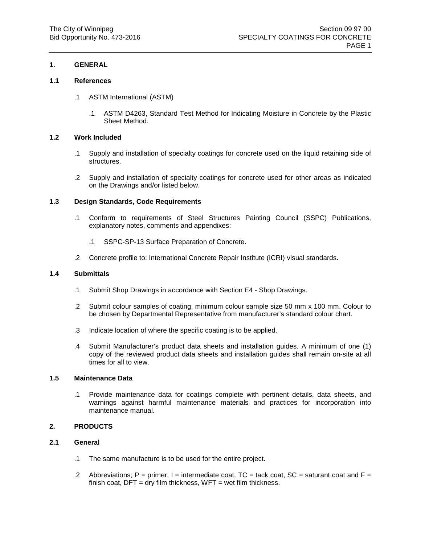## **1. GENERAL**

### **1.1 References**

- .1 ASTM International (ASTM)
	- .1 ASTM D4263, Standard Test Method for Indicating Moisture in Concrete by the Plastic Sheet Method.

## **1.2 Work Included**

- .1 Supply and installation of specialty coatings for concrete used on the liquid retaining side of structures.
- .2 Supply and installation of specialty coatings for concrete used for other areas as indicated on the Drawings and/or listed below.

## **1.3 Design Standards, Code Requirements**

- .1 Conform to requirements of Steel Structures Painting Council (SSPC) Publications, explanatory notes, comments and appendixes:
	- .1 SSPC-SP-13 Surface Preparation of Concrete.
- .2 Concrete profile to: International Concrete Repair Institute (ICRI) visual standards.

### **1.4 Submittals**

- .1 Submit Shop Drawings in accordance with Section E4 Shop Drawings.
- .2 Submit colour samples of coating, minimum colour sample size 50 mm x 100 mm. Colour to be chosen by Departmental Representative from manufacturer's standard colour chart.
- .3 Indicate location of where the specific coating is to be applied.
- .4 Submit Manufacturer's product data sheets and installation guides. A minimum of one (1) copy of the reviewed product data sheets and installation guides shall remain on-site at all times for all to view.

## **1.5 Maintenance Data**

.1 Provide maintenance data for coatings complete with pertinent details, data sheets, and warnings against harmful maintenance materials and practices for incorporation into maintenance manual.

### **2. PRODUCTS**

## **2.1 General**

- .1 The same manufacture is to be used for the entire project.
- .2 Abbreviations; P = primer, I = intermediate coat,  $TC$  = tack coat,  $SC$  = saturant coat and  $F =$ finish coat,  $DFT = dry$  film thickness,  $WFT = wet$  film thickness.